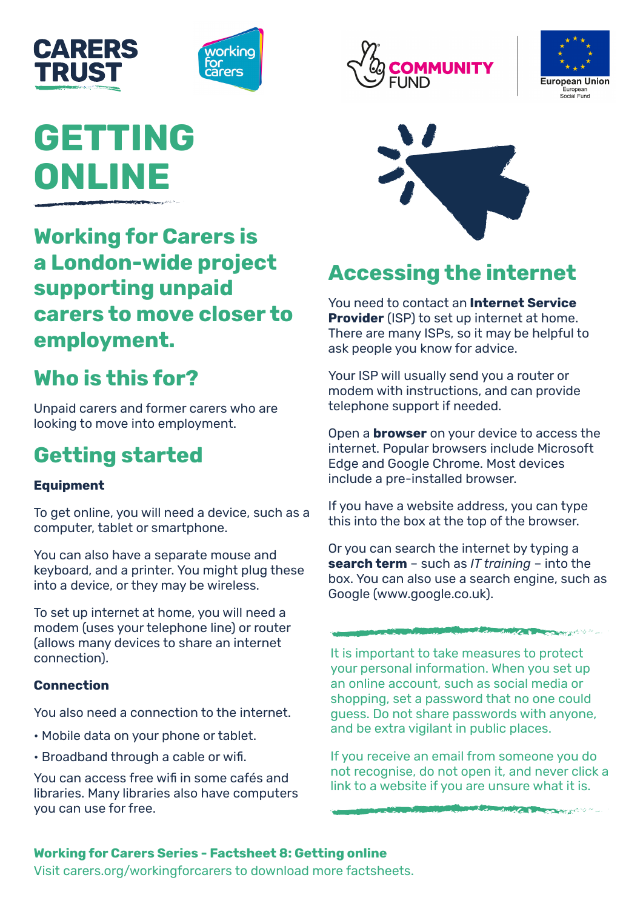



# **GETTING ONLINE**

### **Working for Carers is a London-wide project supporting unpaid carers to move closer to employment.**

## **Who is this for?**

Unpaid carers and former carers who are looking to move into employment.

# **Getting started**

### **Equipment**

To get online, you will need a device, such as a computer, tablet or smartphone.

You can also have a separate mouse and keyboard, and a printer. You might plug these into a device, or they may be wireless.

To set up internet at home, you will need a modem (uses your telephone line) or router (allows many devices to share an internet connection).

### **Connection**

You also need a connection to the internet.

- Mobile data on your phone or tablet.
- Broadband through a cable or wifi.

You can access free wifi in some cafés and libraries. Many libraries also have computers you can use for free.







### **Accessing the internet**

You need to contact an **Internet Service Provider** (ISP) to set up internet at home. There are many ISPs, so it may be helpful to ask people you know for advice.

Your ISP will usually send you a router or modem with instructions, and can provide telephone support if needed.

Open a **browser** on your device to access the internet. Popular browsers include Microsoft Edge and Google Chrome. Most devices include a pre-installed browser.

If you have a website address, you can type this into the box at the top of the browser.

Or you can search the internet by typing a **search term** – such as *IT training* – into the box. You can also use a search engine, such as Google (www.google.co.uk).

**CONTRACTOR AND CARD AND CARD AND AND ARTICLES** 

The Second High Care and the Company of the Company of the Company of the Company of the Company of the Company of the Company of the Company of the Company of the Company of the Company of the Company of the Company of th

It is important to take measures to protect your personal information. When you set up an online account, such as social media or shopping, set a password that no one could guess. Do not share passwords with anyone, and be extra vigilant in public places.

If you receive an email from someone you do not recognise, do not open it, and never click a link to a website if you are unsure what it is.

### **Working for Carers Series - Factsheet 8: Getting online**

Visit carers.org/workingforcarers to download more factsheets.